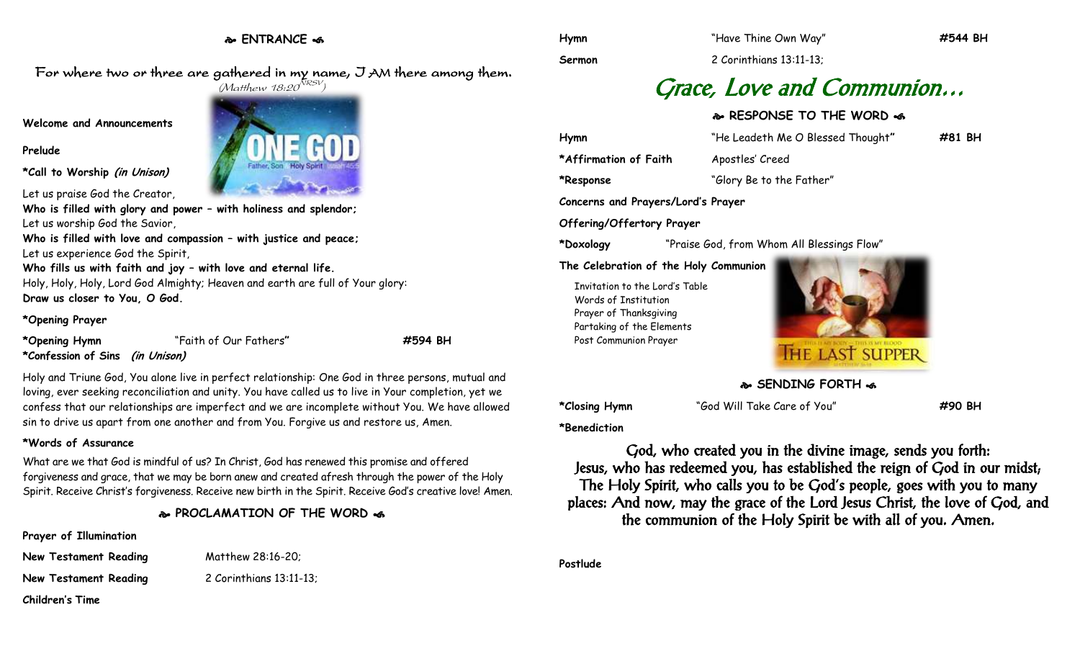**ENTRANCE** 

For where two or three are gathered in my name, I AM there among them.

**Welcome and Announcements**

### **Prelude**

**\*Call to Worship (in Unison)**

Let us praise God the Creator,

**Who is filled with glory and power – with holiness and splendor;** Let us worship God the Savior,

**Who is filled with love and compassion – with justice and peace;** Let us experience God the Spirit,

**Who fills us with faith and joy – with love and eternal life.** Holy, Holy, Holy, Lord God Almighty; Heaven and earth are full of Your glory: **Draw us closer to You, O God.**

### **\*Opening Prayer**

**\*Opening Hymn** "Faith of Our Fathers**" #594 BH**

**\*Confession of Sins (in Unison)**

Holy and Triune God, You alone live in perfect relationship: One God in three persons, mutual and loving, ever seeking reconciliation and unity. You have called us to live in Your completion, yet we confess that our relationships are imperfect and we are incomplete without You. We have allowed sin to drive us apart from one another and from You. Forgive us and restore us, Amen.

# **\*Words of Assurance**

What are we that God is mindful of us? In Christ, God has renewed this promise and offered forgiveness and grace, that we may be born anew and created afresh through the power of the Holy Spirit. Receive Christ's forgiveness. Receive new birth in the Spirit. Receive God's creative love! Amen.

# **PROCLAMATION OF THE WORD**

### **Prayer of Illumination**

**New Testament Reading Matthew 28:16-20;** 

**New Testament Reading 2 Corinthians 13:11-13;** 

**Children's Time**



Grace, Love and Communion…

# **RESPONSE TO THE WORD**  $\infty$

| Hymn                     | "He Leadeth Me O Blessed Thought" | #81 BH |
|--------------------------|-----------------------------------|--------|
| *Affirmation of Faith    | Apostles' Creed                   |        |
| *Response                | "Glory Be to the Father"          |        |
| $\overline{\phantom{a}}$ |                                   |        |

**Concerns and Prayers/Lord's Prayer**

**Offering/Offertory Prayer**

**\*Doxology** "Praise God, from Whom All Blessings Flow"

**Sermon** 2 Corinthians 13:11-13;

# **The Celebration of the Holy Communion**

Invitation to the Lord's Table Words of Institution Prayer of Thanksgiving Partaking of the Elements Post Communion Prayer



**SENDING FORTH &** 

**\*Closing Hymn** "God Will Take Care of You" **#90 BH**

**\*Benediction**

God, who created you in the divine image, sends you forth: Jesus, who has redeemed you, has established the reign of God in our midst; The Holy Spirit, who calls you to be God's people, goes with you to many places: And now, may the grace of the Lord Jesus Christ, the love of God, and the communion of the Holy Spirit be with all of you. Amen.

**Postlude**